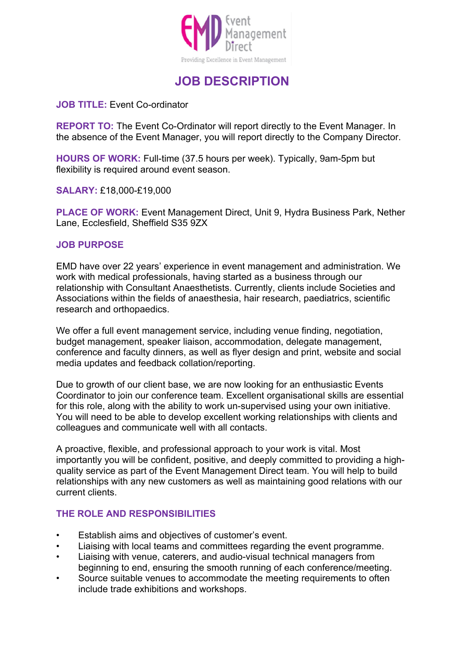

# **JOB DESCRIPTION**

### **JOB TITLE:** Event Co-ordinator

**REPORT TO:** The Event Co-Ordinator will report directly to the Event Manager. In the absence of the Event Manager, you will report directly to the Company Director.

**HOURS OF WORK:** Full-time (37.5 hours per week). Typically, 9am-5pm but flexibility is required around event season.

**SALARY:** £18,000-£19,000

**PLACE OF WORK:** Event Management Direct, Unit 9, Hydra Business Park, Nether Lane, Ecclesfield, Sheffield S35 9ZX

#### **JOB PURPOSE**

EMD have over 22 years' experience in event management and administration. We work with medical professionals, having started as a business through our relationship with Consultant Anaesthetists. Currently, clients include Societies and Associations within the fields of anaesthesia, hair research, paediatrics, scientific research and orthopaedics.

We offer a full event management service, including venue finding, negotiation, budget management, speaker liaison, accommodation, delegate management, conference and faculty dinners, as well as flyer design and print, website and social media updates and feedback collation/reporting.

Due to growth of our client base, we are now looking for an enthusiastic Events Coordinator to join our conference team. Excellent organisational skills are essential for this role, along with the ability to work un-supervised using your own initiative. You will need to be able to develop excellent working relationships with clients and colleagues and communicate well with all contacts.

A proactive, flexible, and professional approach to your work is vital. Most importantly you will be confident, positive, and deeply committed to providing a highquality service as part of the Event Management Direct team. You will help to build relationships with any new customers as well as maintaining good relations with our current clients.

#### **THE ROLE AND RESPONSIBILITIES**

- Establish aims and objectives of customer's event.
- Liaising with local teams and committees regarding the event programme.
- Liaising with venue, caterers, and audio-visual technical managers from beginning to end, ensuring the smooth running of each conference/meeting.
- Source suitable venues to accommodate the meeting requirements to often include trade exhibitions and workshops.